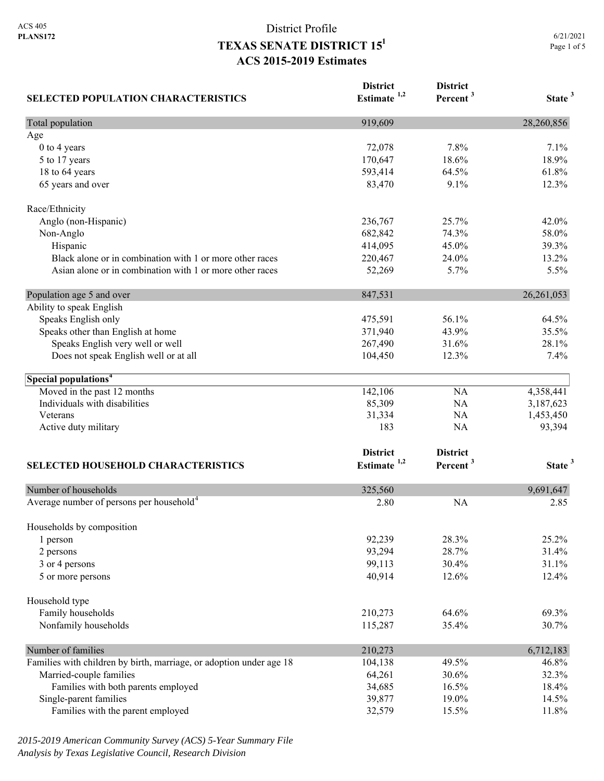| <b>SELECTED POPULATION CHARACTERISTICS</b>                          | <b>District</b><br>Estimate $1,2$ | <b>District</b><br>Percent <sup>3</sup> | State <sup>3</sup> |
|---------------------------------------------------------------------|-----------------------------------|-----------------------------------------|--------------------|
| Total population                                                    | 919,609                           |                                         | 28,260,856         |
| Age                                                                 |                                   |                                         |                    |
| $0$ to $4$ years                                                    | 72,078                            | 7.8%                                    | 7.1%               |
| 5 to 17 years                                                       | 170,647                           | 18.6%                                   | 18.9%              |
| 18 to 64 years                                                      | 593,414                           | 64.5%                                   | 61.8%              |
| 65 years and over                                                   | 83,470                            | 9.1%                                    | 12.3%              |
| Race/Ethnicity                                                      |                                   |                                         |                    |
| Anglo (non-Hispanic)                                                | 236,767                           | 25.7%                                   | 42.0%              |
| Non-Anglo                                                           | 682,842                           | 74.3%                                   | 58.0%              |
| Hispanic                                                            | 414,095                           | 45.0%                                   | 39.3%              |
| Black alone or in combination with 1 or more other races            | 220,467                           | 24.0%                                   | 13.2%              |
| Asian alone or in combination with 1 or more other races            | 52,269                            | 5.7%                                    | 5.5%               |
| Population age 5 and over                                           | 847,531                           |                                         | 26, 261, 053       |
| Ability to speak English                                            |                                   |                                         |                    |
| Speaks English only                                                 | 475,591                           | 56.1%                                   | 64.5%              |
| Speaks other than English at home                                   | 371,940                           | 43.9%                                   | 35.5%              |
| Speaks English very well or well                                    | 267,490                           | 31.6%                                   | 28.1%              |
| Does not speak English well or at all                               | 104,450                           | 12.3%                                   | 7.4%               |
| Special populations <sup>4</sup>                                    |                                   |                                         |                    |
| Moved in the past 12 months                                         | 142,106                           | <b>NA</b>                               | 4,358,441          |
| Individuals with disabilities                                       | 85,309                            | NA                                      | 3,187,623          |
| Veterans                                                            | 31,334                            | NA                                      | 1,453,450          |
| Active duty military                                                | 183                               | NA                                      | 93,394             |
|                                                                     | <b>District</b>                   | <b>District</b>                         |                    |
| SELECTED HOUSEHOLD CHARACTERISTICS                                  | Estimate $1,2$                    | Percent <sup>3</sup>                    | State <sup>3</sup> |
| Number of households                                                | 325,560                           |                                         | 9,691,647          |
| Average number of persons per household <sup>4</sup>                | 2.80                              | <b>NA</b>                               | 2.85               |
|                                                                     |                                   |                                         |                    |
| Households by composition<br>1 person                               | 92,239                            | 28.3%                                   | 25.2%              |
|                                                                     |                                   | 28.7%                                   | 31.4%              |
| 2 persons<br>3 or 4 persons                                         | 93,294<br>99,113                  | 30.4%                                   | 31.1%              |
| 5 or more persons                                                   | 40,914                            | 12.6%                                   | 12.4%              |
|                                                                     |                                   |                                         |                    |
| Household type                                                      |                                   |                                         |                    |
| Family households                                                   | 210,273                           | 64.6%<br>35.4%                          | 69.3%<br>30.7%     |
| Nonfamily households                                                | 115,287                           |                                         |                    |
| Number of families                                                  | 210,273                           |                                         | 6,712,183          |
| Families with children by birth, marriage, or adoption under age 18 | 104,138                           | 49.5%                                   | 46.8%              |
| Married-couple families                                             | 64,261                            | 30.6%                                   | 32.3%              |
| Families with both parents employed                                 | 34,685                            | 16.5%                                   | 18.4%              |
| Single-parent families                                              | 39,877                            | 19.0%                                   | 14.5%              |
| Families with the parent employed                                   | 32,579                            | 15.5%                                   | 11.8%              |

*2015-2019 American Community Survey (ACS) 5-Year Summary File Analysis by Texas Legislative Council, Research Division*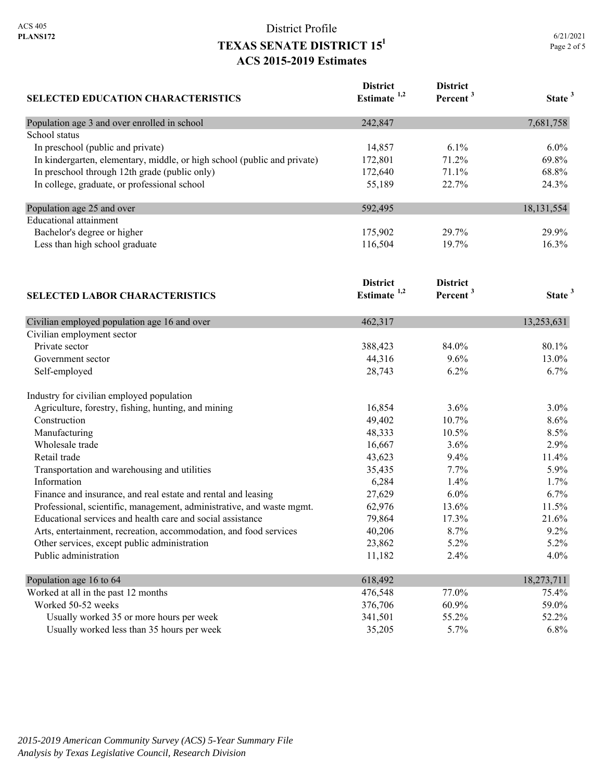|             | 6/21/2021 |
|-------------|-----------|
| Page 2 of 5 |           |

| <b>SELECTED EDUCATION CHARACTERISTICS</b>                                | <b>District</b><br>Estimate $1,2$ | <b>District</b><br>Percent <sup>3</sup> | State <sup>3</sup> |
|--------------------------------------------------------------------------|-----------------------------------|-----------------------------------------|--------------------|
| Population age 3 and over enrolled in school                             | 242,847                           |                                         | 7,681,758          |
| School status                                                            |                                   |                                         |                    |
| In preschool (public and private)                                        | 14,857                            | $6.1\%$                                 | $6.0\%$            |
| In kindergarten, elementary, middle, or high school (public and private) | 172,801                           | 71.2%                                   | 69.8%              |
| In preschool through 12th grade (public only)                            | 172,640                           | 71.1%                                   | 68.8%              |
| In college, graduate, or professional school                             | 55,189                            | 22.7%                                   | 24.3%              |
| Population age 25 and over                                               | 592,495                           |                                         | 18, 131, 554       |
| <b>Educational attainment</b>                                            |                                   |                                         |                    |
| Bachelor's degree or higher                                              | 175,902                           | 29.7%                                   | 29.9%              |
| Less than high school graduate                                           | 116,504                           | 19.7%                                   | 16.3%              |
|                                                                          | <b>District</b>                   | <b>District</b>                         |                    |
| <b>SELECTED LABOR CHARACTERISTICS</b>                                    | Estimate $1,2$                    | Percent <sup>3</sup>                    | State <sup>3</sup> |
| Civilian employed population age 16 and over                             | 462,317                           |                                         | 13,253,631         |
| Civilian employment sector                                               |                                   |                                         |                    |
| Private sector                                                           | 388,423                           | 84.0%                                   | 80.1%              |

| Government sector                                                     | 44,316  | $9.6\%$  | 13.0%      |
|-----------------------------------------------------------------------|---------|----------|------------|
| Self-employed                                                         | 28,743  | 6.2%     | $6.7\%$    |
| Industry for civilian employed population                             |         |          |            |
| Agriculture, forestry, fishing, hunting, and mining                   | 16,854  | $3.6\%$  | $3.0\%$    |
| Construction                                                          | 49,402  | $10.7\%$ | $8.6\%$    |
| Manufacturing                                                         | 48,333  | 10.5%    | $8.5\%$    |
| Wholesale trade                                                       | 16,667  | $3.6\%$  | $2.9\%$    |
| Retail trade                                                          | 43,623  | $9.4\%$  | 11.4%      |
| Transportation and warehousing and utilities                          | 35,435  | $7.7\%$  | 5.9%       |
| Information                                                           | 6,284   | $1.4\%$  | $1.7\%$    |
| Finance and insurance, and real estate and rental and leasing         | 27,629  | $6.0\%$  | $6.7\%$    |
| Professional, scientific, management, administrative, and waste mgmt. | 62,976  | 13.6%    | 11.5%      |
| Educational services and health care and social assistance            | 79,864  | 17.3%    | 21.6%      |
| Arts, entertainment, recreation, accommodation, and food services     | 40,206  | 8.7%     | $9.2\%$    |
| Other services, except public administration                          | 23,862  | $5.2\%$  | $5.2\%$    |
| Public administration                                                 | 11,182  | 2.4%     | $4.0\%$    |
| Population age 16 to 64                                               | 618,492 |          | 18,273,711 |
| Worked at all in the past 12 months                                   | 476,548 | 77.0%    | 75.4%      |
| Worked 50-52 weeks                                                    | 376,706 | 60.9%    | 59.0%      |
| Usually worked 35 or more hours per week                              | 341,501 | 55.2%    | 52.2%      |
| Usually worked less than 35 hours per week                            | 35,205  | $5.7\%$  | $6.8\%$    |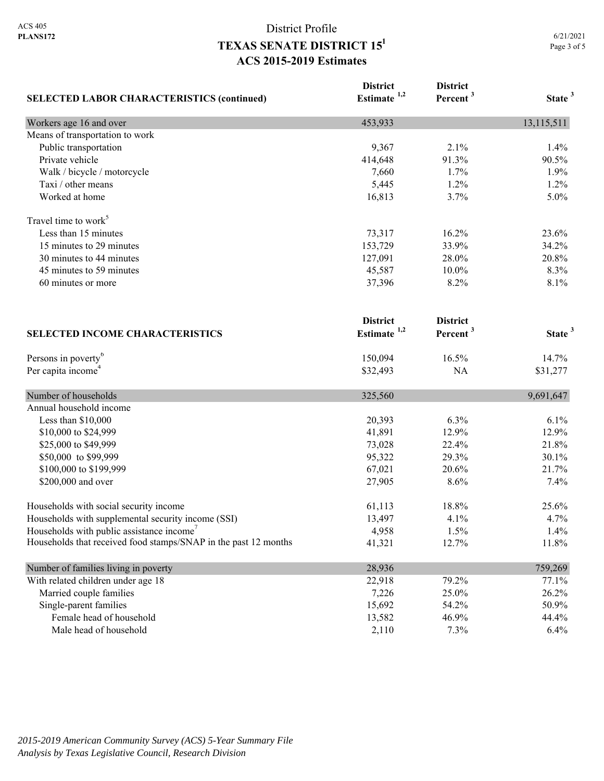| <b>SELECTED LABOR CHARACTERISTICS (continued)</b>               | <b>District</b><br>Estimate $1,2$ | <b>District</b><br>Percent <sup>3</sup> | State <sup>3</sup> |
|-----------------------------------------------------------------|-----------------------------------|-----------------------------------------|--------------------|
| Workers age 16 and over                                         | 453,933                           |                                         | 13,115,511         |
| Means of transportation to work                                 |                                   |                                         |                    |
| Public transportation                                           | 9,367                             | 2.1%                                    | 1.4%               |
| Private vehicle                                                 | 414,648                           | 91.3%                                   | 90.5%              |
| Walk / bicycle / motorcycle                                     | 7,660                             | 1.7%                                    | 1.9%               |
| Taxi / other means                                              | 5,445                             | 1.2%                                    | 1.2%               |
| Worked at home                                                  | 16,813                            | 3.7%                                    | 5.0%               |
| Travel time to work <sup>5</sup>                                |                                   |                                         |                    |
| Less than 15 minutes                                            | 73,317                            | 16.2%                                   | 23.6%              |
| 15 minutes to 29 minutes                                        | 153,729                           | 33.9%                                   | 34.2%              |
| 30 minutes to 44 minutes                                        | 127,091                           | 28.0%                                   | 20.8%              |
| 45 minutes to 59 minutes                                        | 45,587                            | 10.0%                                   | 8.3%               |
| 60 minutes or more                                              | 37,396                            | 8.2%                                    | 8.1%               |
|                                                                 | <b>District</b>                   | <b>District</b>                         |                    |
| <b>SELECTED INCOME CHARACTERISTICS</b>                          | Estimate <sup>1,2</sup>           | Percent <sup>3</sup>                    | State <sup>3</sup> |
| Persons in poverty <sup>6</sup>                                 | 150,094                           | 16.5%                                   | 14.7%              |
| Per capita income <sup>4</sup>                                  | \$32,493                          | NA                                      | \$31,277           |
| Number of households                                            | 325,560                           |                                         | 9,691,647          |
| Annual household income                                         |                                   |                                         |                    |
| Less than \$10,000                                              | 20,393                            | 6.3%                                    | 6.1%               |
| \$10,000 to \$24,999                                            | 41,891                            | 12.9%                                   | 12.9%              |
| \$25,000 to \$49,999                                            | 73,028                            | 22.4%                                   | 21.8%              |
| \$50,000 to \$99,999                                            | 95,322                            | 29.3%                                   | 30.1%              |
| \$100,000 to \$199,999                                          | 67,021                            | 20.6%                                   | 21.7%              |
| \$200,000 and over                                              | 27,905                            | 8.6%                                    | 7.4%               |
| Households with social security income                          | 61,113                            | 18.8%                                   | 25.6%              |
| Households with supplemental security income (SSI)              | 13,497                            | 4.1%                                    | 4.7%               |
| Households with public assistance income'                       | 4,958                             | 1.5%                                    | 1.4%               |
| Households that received food stamps/SNAP in the past 12 months | 41,321                            | 12.7%                                   | 11.8%              |
| Number of families living in poverty                            | 28,936                            |                                         | 759,269            |
| With related children under age 18                              | 22,918                            | 79.2%                                   | 77.1%              |
| Married couple families                                         | 7,226                             | 25.0%                                   | 26.2%              |
| Single-parent families                                          | 15,692                            | 54.2%                                   | 50.9%              |
| Female head of household                                        | 13,582                            | 46.9%                                   | 44.4%              |
| Male head of household                                          | 2,110                             | 7.3%                                    | 6.4%               |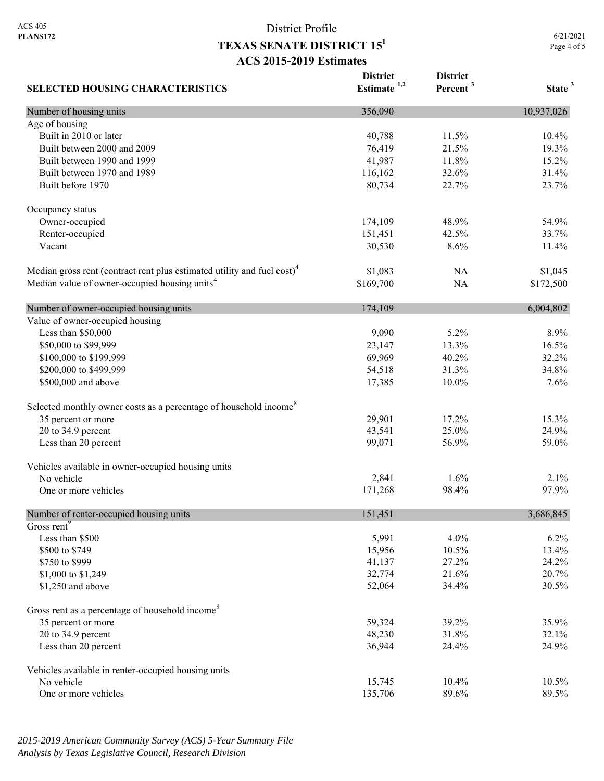6/21/2021 Page 4 of 5

| <b>SELECTED HOUSING CHARACTERISTICS</b>                                             | <b>District</b><br>Estimate $1,2$ | <b>District</b><br>Percent <sup>3</sup> | State <sup>3</sup> |
|-------------------------------------------------------------------------------------|-----------------------------------|-----------------------------------------|--------------------|
| Number of housing units                                                             | 356,090                           |                                         | 10,937,026         |
| Age of housing                                                                      |                                   |                                         |                    |
| Built in 2010 or later                                                              | 40,788                            | 11.5%                                   | 10.4%              |
| Built between 2000 and 2009                                                         | 76,419                            | 21.5%                                   | 19.3%              |
| Built between 1990 and 1999                                                         | 41,987                            | 11.8%                                   | 15.2%              |
| Built between 1970 and 1989                                                         | 116,162                           | 32.6%                                   | 31.4%              |
| Built before 1970                                                                   | 80,734                            | 22.7%                                   | 23.7%              |
| Occupancy status                                                                    |                                   |                                         |                    |
| Owner-occupied                                                                      | 174,109                           | 48.9%                                   | 54.9%              |
| Renter-occupied                                                                     | 151,451                           | 42.5%                                   | 33.7%              |
| Vacant                                                                              | 30,530                            | 8.6%                                    | 11.4%              |
| Median gross rent (contract rent plus estimated utility and fuel cost) <sup>4</sup> | \$1,083                           | NA                                      | \$1,045            |
| Median value of owner-occupied housing units <sup>4</sup>                           | \$169,700                         | <b>NA</b>                               | \$172,500          |
| Number of owner-occupied housing units                                              | 174,109                           |                                         | 6,004,802          |
| Value of owner-occupied housing                                                     |                                   |                                         |                    |
| Less than \$50,000                                                                  | 9,090                             | 5.2%                                    | 8.9%               |
| \$50,000 to \$99,999                                                                | 23,147                            | 13.3%                                   | 16.5%              |
| \$100,000 to \$199,999                                                              | 69,969                            | 40.2%                                   | 32.2%              |
| \$200,000 to \$499,999                                                              | 54,518                            | 31.3%                                   | 34.8%              |
| \$500,000 and above                                                                 | 17,385                            | 10.0%                                   | 7.6%               |
| Selected monthly owner costs as a percentage of household income <sup>8</sup>       |                                   |                                         |                    |
| 35 percent or more                                                                  | 29,901                            | 17.2%                                   | 15.3%              |
| 20 to 34.9 percent                                                                  | 43,541                            | 25.0%                                   | 24.9%              |
| Less than 20 percent                                                                | 99,071                            | 56.9%                                   | 59.0%              |
| Vehicles available in owner-occupied housing units                                  |                                   |                                         |                    |
| No vehicle                                                                          | 2,841                             | 1.6%                                    | 2.1%               |
| One or more vehicles                                                                | 171,268                           | 98.4%                                   | 97.9%              |
| Number of renter-occupied housing units                                             | 151,451                           |                                         | 3,686,845          |
| Gross rent <sup>9</sup>                                                             |                                   |                                         |                    |
| Less than \$500                                                                     | 5,991                             | 4.0%                                    | 6.2%               |
| \$500 to \$749                                                                      | 15,956                            | 10.5%                                   | 13.4%              |
| \$750 to \$999                                                                      | 41,137                            | 27.2%                                   | 24.2%              |
| \$1,000 to \$1,249                                                                  | 32,774                            | 21.6%                                   | 20.7%              |
| \$1,250 and above                                                                   | 52,064                            | 34.4%                                   | 30.5%              |
| Gross rent as a percentage of household income <sup>8</sup>                         |                                   |                                         |                    |
| 35 percent or more                                                                  | 59,324                            | 39.2%                                   | 35.9%              |
| 20 to 34.9 percent                                                                  | 48,230                            | 31.8%                                   | 32.1%              |
| Less than 20 percent                                                                | 36,944                            | 24.4%                                   | 24.9%              |
| Vehicles available in renter-occupied housing units                                 |                                   |                                         |                    |
| No vehicle                                                                          | 15,745                            | 10.4%                                   | 10.5%              |
| One or more vehicles                                                                | 135,706                           | 89.6%                                   | 89.5%              |